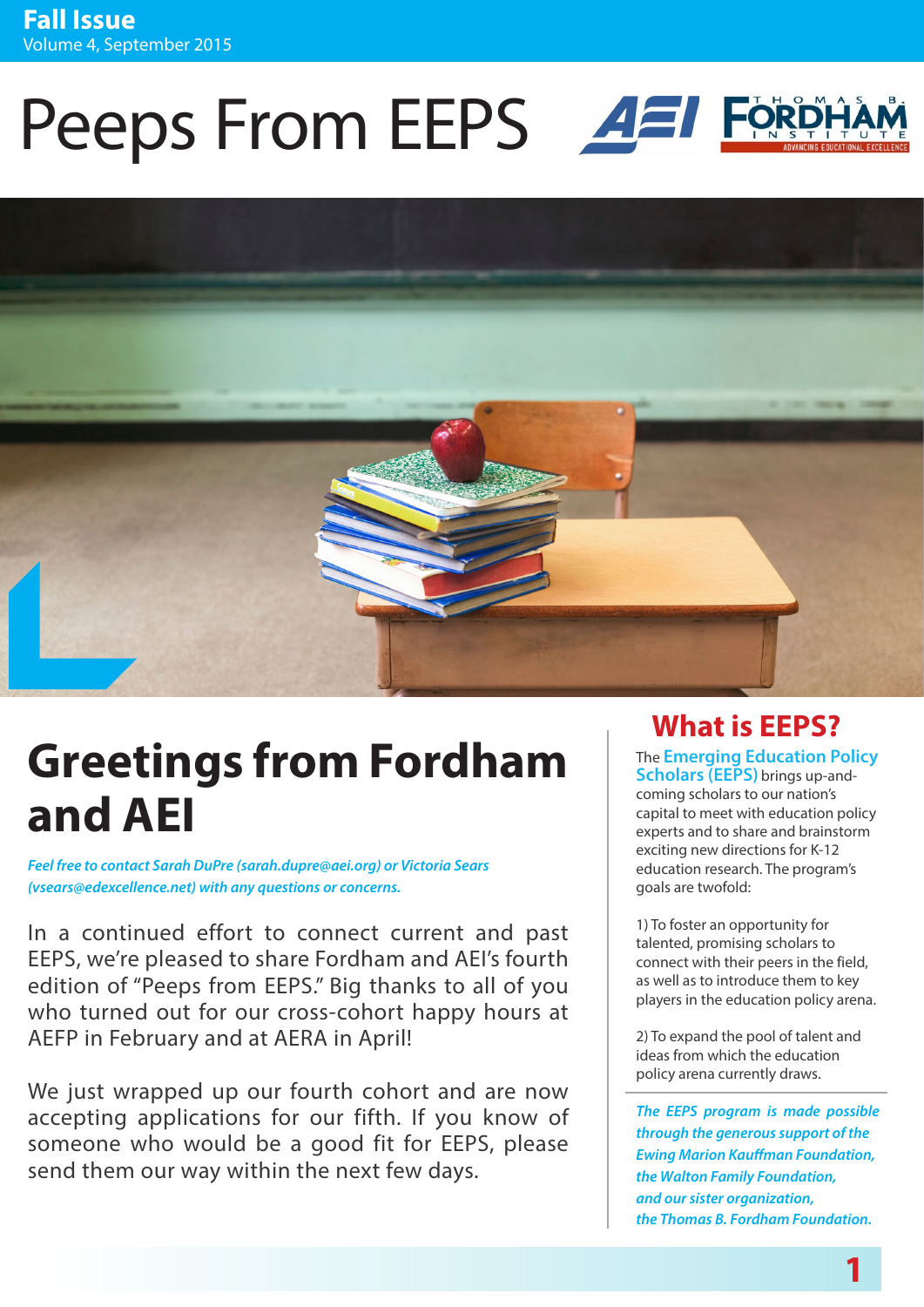# Peeps From EEPS **AEI**



# **Greetings from Fordham and AEI**

*Feel free to contact Sarah DuPre (sarah.dupre@aei.org) or Victoria Sears (vsears@edexcellence.net) with any questions or concerns.*

In a continued effort to connect current and past EEPS, we're pleased to share Fordham and AEI's fourth edition of "Peeps from EEPS." Big thanks to all of you who turned out for our cross-cohort happy hours at AEFP in February and at AERA in April!

We just wrapped up our fourth cohort and are now accepting applications for our fifth. If you know of someone who would be a good fit for EEPS, please send them our way within the next few days.

# **What is EEPS?**

The **Emerging Education Policy Scholars (EEPS)** brings up-andcoming scholars to our nation's capital to meet with education policy experts and to share and brainstorm exciting new directions for K-12 education research. The program's

1) To foster an opportunity for talented, promising scholars to connect with their peers in the field, as well as to introduce them to key players in the education policy arena.

goals are twofold:

2) To expand the pool of talent and ideas from which the education policy arena currently draws.

*The EEPS program is made possible through the generous support of the Ewing Marion Kauffman Foundation, the Walton Family Foundation, and our sister organization, the Thomas B. Fordham Foundation.*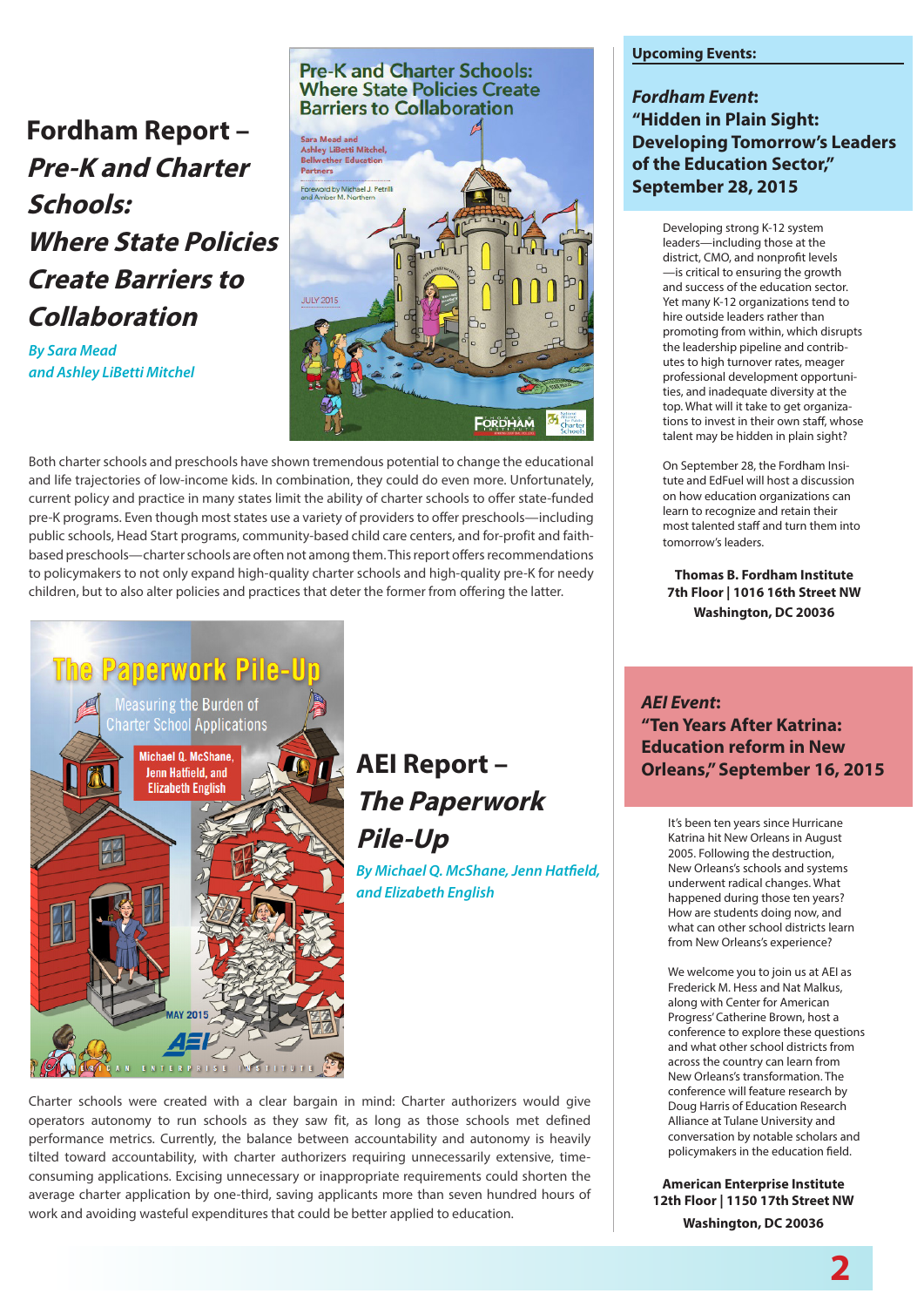### **[Fordham Report –](http://edexcellence.net/charterprek)  [Pre-K and Charter](http://edexcellence.net/charterprek)  [Schools:](http://edexcellence.net/charterprek)  [Where State Policies](http://edexcellence.net/charterprek) [Create Barriers to](http://edexcellence.net/charterprek)  [Collaboration](http://edexcellence.net/charterprek)**

*By Sara Mead and Ashley LiBetti Mitchel* 

#### **Pre-K and Charter Schools: Where State Policies Create Barriers to Collaboration**



Both charter schools and preschools have shown tremendous potential to change the educational and life trajectories of low-income kids. In combination, they could do even more. Unfortunately, current policy and practice in many states limit the ability of charter schools to offer state-funded pre-K programs. Even though most states use a variety of providers to offer preschools—including public schools, Head Start programs, community-based child care centers, and for-profit and faithbased preschools—charter schools are often not among them. This report offers recommendations to policymakers to not only expand high-quality charter schools and high-quality pre-K for needy children, but to also alter policies and practices that deter the former from offering the latter.



## **[AEI Report –](http://www.aei.org/publication/the-paperwork-pile-up-measuring-the-burden-of-charter-school-applications/)  [The Paperwork](http://www.aei.org/publication/the-paperwork-pile-up-measuring-the-burden-of-charter-school-applications/) [Pile-Up](http://www.aei.org/publication/the-paperwork-pile-up-measuring-the-burden-of-charter-school-applications/)**

*By Michael Q. McShane, Jenn Hatfield, and Elizabeth English*

Charter schools were created with a clear bargain in mind: Charter authorizers would give operators autonomy to run schools as they saw fit, as long as those schools met defined performance metrics. Currently, the balance between accountability and autonomy is heavily tilted toward accountability, with charter authorizers requiring unnecessarily extensive, timeconsuming applications. Excising unnecessary or inappropriate requirements could shorten the average charter application by one-third, saving applicants more than seven hundred hours of work and avoiding wasteful expenditures that could be better applied to education.

#### **Upcoming Events:**

#### *Fordham Event***: "Hidden in Plain Sight: Developing Tomorrow's Leaders of the Education Sector," September 28, 2015**

Developing strong K-12 system leaders—including those at the district, CMO, and nonprofit levels —is critical to ensuring the growth and success of the education sector. Yet many K-12 organizations tend to hire outside leaders rather than promoting from within, which disrupts the leadership pipeline and contributes to high turnover rates, meager professional development opportunities, and inadequate diversity at the top. What will it take to get organizations to invest in their own staff, whose talent may be hidden in plain sight?

On September 28, the Fordham Insitute and EdFuel will host a discussion on how education organizations can learn to recognize and retain their most talented staff and turn them into tomorrow's leaders.

**Thomas B. Fordham Institute 7th Floor | 1016 16th Street NW Washington, DC 20036**

#### *AEI Event***: "Ten Years After Katrina: Education reform in New Orleans," September 16, 2015**

It's been ten years since Hurricane Katrina hit New Orleans in August 2005. Following the destruction, New Orleans's schools and systems underwent radical changes. What happened during those ten years? How are students doing now, and what can other school districts learn from New Orleans's experience?

We welcome you to join us at AEI as Frederick M. Hess and Nat Malkus, along with Center for American Progress' Catherine Brown, host a conference to explore these questions and what other school districts from across the country can learn from New Orleans's transformation. The conference will feature research by Doug Harris of Education Research Alliance at Tulane University and conversation by notable scholars and policymakers in the education field.

**American Enterprise Institute 12th Floor | 1150 17th Street NW Washington, DC 20036**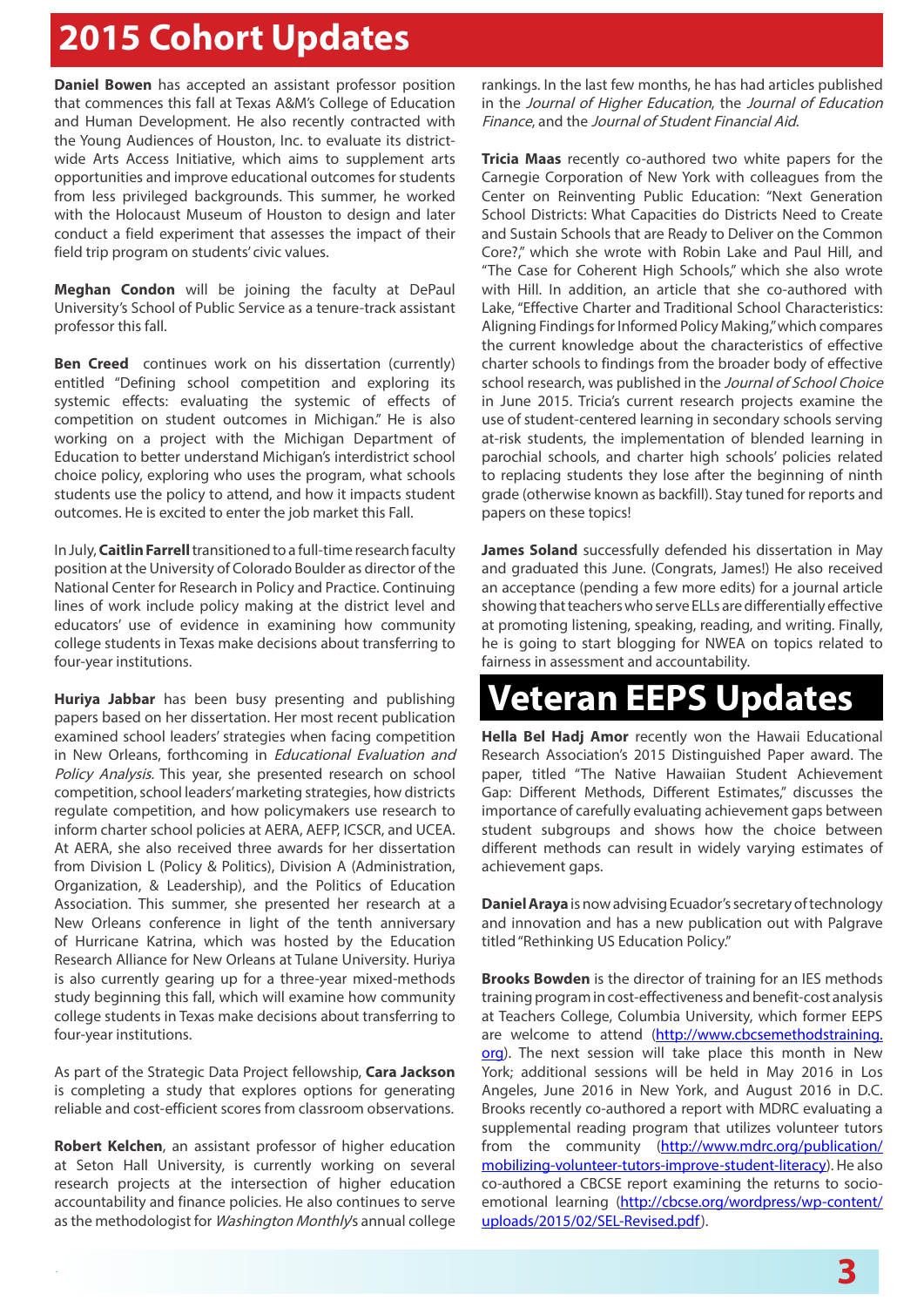# **2015 Cohort Updates**

**Daniel Bowen** has accepted an assistant professor position that commences this fall at Texas A&M's College of Education and Human Development. He also recently contracted with the Young Audiences of Houston, Inc. to evaluate its districtwide Arts Access Initiative, which aims to supplement arts opportunities and improve educational outcomes for students from less privileged backgrounds. This summer, he worked with the Holocaust Museum of Houston to design and later conduct a field experiment that assesses the impact of their field trip program on students' civic values.

**Meghan Condon** will be joining the faculty at DePaul University's School of Public Service as a tenure-track assistant professor this fall.

**Ben Creed** continues work on his dissertation (currently) entitled "Defining school competition and exploring its systemic effects: evaluating the systemic of effects of competition on student outcomes in Michigan." He is also working on a project with the Michigan Department of Education to better understand Michigan's interdistrict school choice policy, exploring who uses the program, what schools students use the policy to attend, and how it impacts student outcomes. He is excited to enter the job market this Fall.

In July, **Caitlin Farrell** transitioned to a full-time research faculty position at the University of Colorado Boulder as director of the National Center for Research in Policy and Practice. Continuing lines of work include policy making at the district level and educators' use of evidence in examining how community college students in Texas make decisions about transferring to four-year institutions.

**Huriya Jabbar** has been busy presenting and publishing papers based on her dissertation. Her most recent publication examined school leaders' strategies when facing competition in New Orleans, forthcoming in Educational Evaluation and Policy Analysis. This year, she presented research on school competition, school leaders' marketing strategies, how districts regulate competition, and how policymakers use research to inform charter school policies at AERA, AEFP, ICSCR, and UCEA. At AERA, she also received three awards for her dissertation from Division L (Policy & Politics), Division A (Administration, Organization, & Leadership), and the Politics of Education Association. This summer, she presented her research at a New Orleans conference in light of the tenth anniversary of Hurricane Katrina, which was hosted by the Education Research Alliance for New Orleans at Tulane University. Huriya is also currently gearing up for a three-year mixed-methods study beginning this fall, which will examine how community college students in Texas make decisions about transferring to four-year institutions.

As part of the Strategic Data Project fellowship, **Cara Jackson** is completing a study that explores options for generating reliable and cost-efficient scores from classroom observations.

**Robert Kelchen**, an assistant professor of higher education at Seton Hall University, is currently working on several research projects at the intersection of higher education accountability and finance policies. He also continues to serve as the methodologist for Washington Monthly's annual college rankings. In the last few months, he has had articles published in the Journal of Higher Education, the Journal of Education Finance, and the Journal of Student Financial Aid.

**Tricia Maas** recently co-authored two white papers for the Carnegie Corporation of New York with colleagues from the Center on Reinventing Public Education: "Next Generation School Districts: What Capacities do Districts Need to Create and Sustain Schools that are Ready to Deliver on the Common Core?," which she wrote with Robin Lake and Paul Hill, and "The Case for Coherent High Schools," which she also wrote with Hill. In addition, an article that she co-authored with Lake, "Effective Charter and Traditional School Characteristics: Aligning Findings for Informed Policy Making," which compares the current knowledge about the characteristics of effective charter schools to findings from the broader body of effective school research, was published in the Journal of School Choice in June 2015. Tricia's current research projects examine the use of student-centered learning in secondary schools serving at-risk students, the implementation of blended learning in parochial schools, and charter high schools' policies related to replacing students they lose after the beginning of ninth grade (otherwise known as backfill). Stay tuned for reports and papers on these topics!

**James Soland** successfully defended his dissertation in May and graduated this June. (Congrats, James!) He also received an acceptance (pending a few more edits) for a journal article showing that teachers who serve ELLs are differentially effective at promoting listening, speaking, reading, and writing. Finally, he is going to start blogging for NWEA on topics related to fairness in assessment and accountability.

# **Veteran EEPS Updates**

**Hella Bel Hadj Amor** recently won the Hawaii Educational Research Association's 2015 Distinguished Paper award. The paper, titled "The Native Hawaiian Student Achievement Gap: Different Methods, Different Estimates," discusses the importance of carefully evaluating achievement gaps between student subgroups and shows how the choice between different methods can result in widely varying estimates of achievement gaps.

**Daniel Araya** is now advising Ecuador's secretary of technology and innovation and has a new publication out with Palgrave titled "Rethinking US Education Policy."

**Brooks Bowden** is the director of training for an IES methods training program in cost-effectiveness and benefit-cost analysis at Teachers College, Columbia University, which former EEPS are welcome to attend ([http://www.cbcsemethodstraining.](http://www.cbcsemethodstraining.org) [org\)](http://www.cbcsemethodstraining.org). The next session will take place this month in New York; additional sessions will be held in May 2016 in Los Angeles, June 2016 in New York, and August 2016 in D.C. Brooks recently co-authored a report with MDRC evaluating a supplemental reading program that utilizes volunteer tutors from the community ([http://www.mdrc.org/publication/](http://www.mdrc.org/publication/mobilizing-volunteer-tutors-improve-student-literacy) [mobilizing-volunteer-tutors-improve-student-literacy\)](http://www.mdrc.org/publication/mobilizing-volunteer-tutors-improve-student-literacy). He also co-authored a CBCSE report examining the returns to socioemotional learning ([http://cbcse.org/wordpress/wp-content/](http://cbcse.org/wordpress/wp-content/uploads/2015/02/SEL-Revised.pdf) [uploads/2015/02/SEL-Revised.pdf\)](http://cbcse.org/wordpress/wp-content/uploads/2015/02/SEL-Revised.pdf).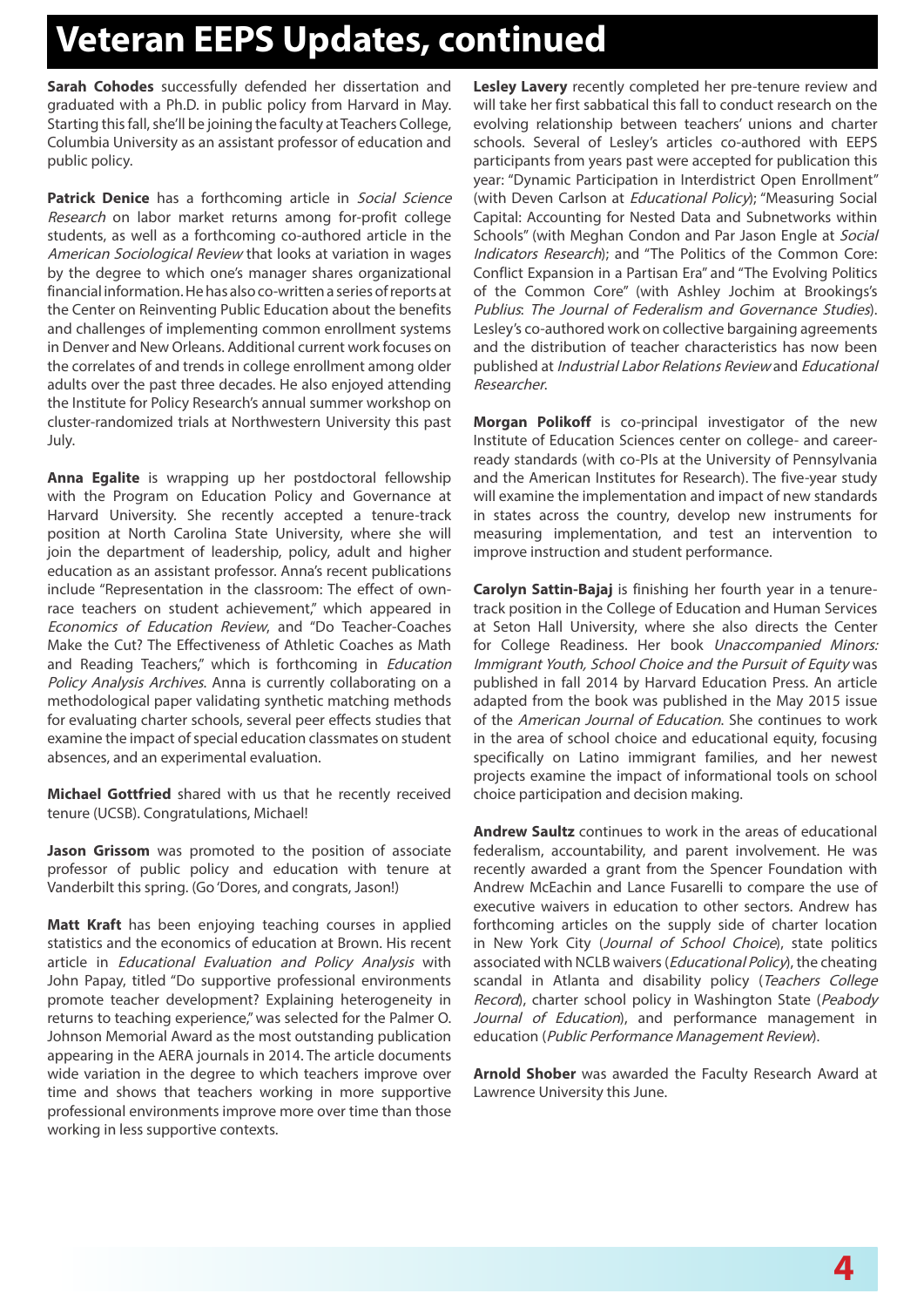# **Veteran EEPS Updates, continued**

**Sarah Cohodes** successfully defended her dissertation and graduated with a Ph.D. in public policy from Harvard in May. Starting this fall, she'll be joining the faculty at Teachers College, Columbia University as an assistant professor of education and public policy.

Patrick Denice has a forthcoming article in Social Science Research on labor market returns among for-profit college students, as well as a forthcoming co-authored article in the American Sociological Review that looks at variation in wages by the degree to which one's manager shares organizational financial information. He has also co-written a series of reports at the Center on Reinventing Public Education about the benefits and challenges of implementing common enrollment systems in Denver and New Orleans. Additional current work focuses on the correlates of and trends in college enrollment among older adults over the past three decades. He also enjoyed attending the Institute for Policy Research's annual summer workshop on cluster-randomized trials at Northwestern University this past July.

**Anna Egalite** is wrapping up her postdoctoral fellowship with the Program on Education Policy and Governance at Harvard University. She recently accepted a tenure-track position at North Carolina State University, where she will join the department of leadership, policy, adult and higher education as an assistant professor. Anna's recent publications include "Representation in the classroom: The effect of ownrace teachers on student achievement," which appeared in Economics of Education Review, and "Do Teacher-Coaches Make the Cut? The Effectiveness of Athletic Coaches as Math and Reading Teachers," which is forthcoming in *Education* Policy Analysis Archives. Anna is currently collaborating on a methodological paper validating synthetic matching methods for evaluating charter schools, several peer effects studies that examine the impact of special education classmates on student absences, and an experimental evaluation.

**Michael Gottfried** shared with us that he recently received tenure (UCSB). Congratulations, Michael!

**Jason Grissom** was promoted to the position of associate professor of public policy and education with tenure at Vanderbilt this spring. (Go 'Dores, and congrats, Jason!)

**Matt Kraft** has been enjoying teaching courses in applied statistics and the economics of education at Brown. His recent article in Educational Evaluation and Policy Analysis with John Papay, titled "Do supportive professional environments promote teacher development? Explaining heterogeneity in returns to teaching experience," was selected for the Palmer O. Johnson Memorial Award as the most outstanding publication appearing in the AERA journals in 2014. The article documents wide variation in the degree to which teachers improve over time and shows that teachers working in more supportive professional environments improve more over time than those working in less supportive contexts.

**Lesley Lavery** recently completed her pre-tenure review and will take her first sabbatical this fall to conduct research on the evolving relationship between teachers' unions and charter schools. Several of Lesley's articles co-authored with EEPS participants from years past were accepted for publication this year: "Dynamic Participation in Interdistrict Open Enrollment" (with Deven Carlson at Educational Policy); "Measuring Social Capital: Accounting for Nested Data and Subnetworks within Schools" (with Meghan Condon and Par Jason Engle at Social Indicators Research); and "The Politics of the Common Core: Conflict Expansion in a Partisan Era" and "The Evolving Politics of the Common Core" (with Ashley Jochim at Brookings's Publius: The Journal of Federalism and Governance Studies). Lesley's co-authored work on collective bargaining agreements and the distribution of teacher characteristics has now been published at Industrial Labor Relations Review and Educational Researcher.

**Morgan Polikoff** is co-principal investigator of the new Institute of Education Sciences center on college- and careerready standards (with co-PIs at the University of Pennsylvania and the American Institutes for Research). The five-year study will examine the implementation and impact of new standards in states across the country, develop new instruments for measuring implementation, and test an intervention to improve instruction and student performance.

**Carolyn Sattin-Bajaj** is finishing her fourth year in a tenuretrack position in the College of Education and Human Services at Seton Hall University, where she also directs the Center for College Readiness. Her book Unaccompanied Minors: Immigrant Youth, School Choice and the Pursuit of Equity was published in fall 2014 by Harvard Education Press. An article adapted from the book was published in the May 2015 issue of the American Journal of Education. She continues to work in the area of school choice and educational equity, focusing specifically on Latino immigrant families, and her newest projects examine the impact of informational tools on school choice participation and decision making.

**Andrew Saultz** continues to work in the areas of educational federalism, accountability, and parent involvement. He was recently awarded a grant from the Spencer Foundation with Andrew McEachin and Lance Fusarelli to compare the use of executive waivers in education to other sectors. Andrew has forthcoming articles on the supply side of charter location in New York City (Journal of School Choice), state politics associated with NCLB waivers (*Educational Policy*), the cheating scandal in Atlanta and disability policy (Teachers College Record), charter school policy in Washington State (Peabody Journal of Education), and performance management in education (Public Performance Management Review).

**Arnold Shober** was awarded the Faculty Research Award at Lawrence University this June.

 $4$  January 2013 - Newsletter Template Template Template Template Template Template Template Template Template Template Template Template Template Template Template Template Template Template Template Template Template Te **4**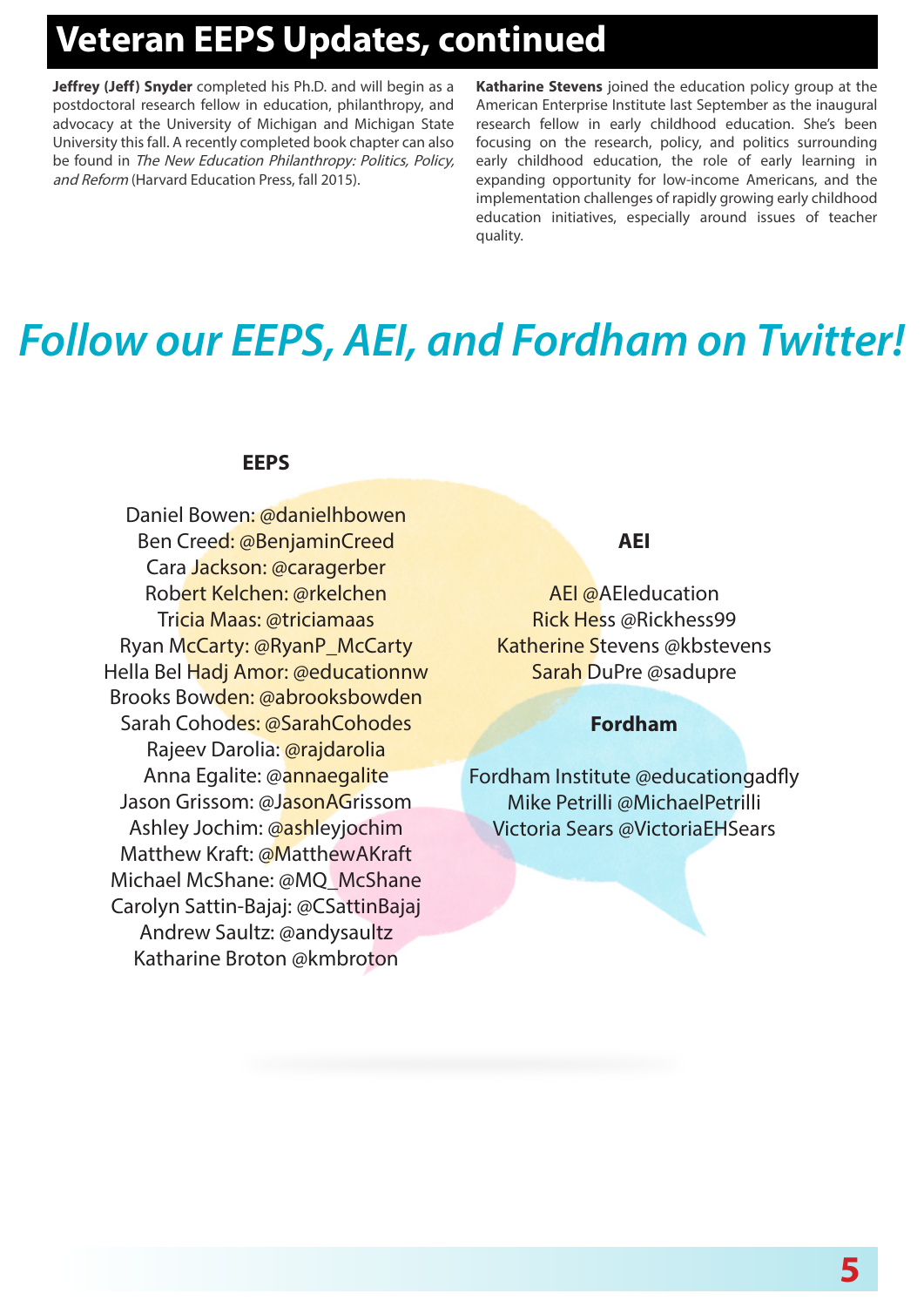# **Veteran EEPS Updates, continued**

**Jeffrey (Jeff) Snyder** completed his Ph.D. and will begin as a postdoctoral research fellow in education, philanthropy, and advocacy at the University of Michigan and Michigan State University this fall. A recently completed book chapter can also be found in The New Education Philanthropy: Politics, Policy, and Reform (Harvard Education Press, fall 2015).

**Katharine Stevens** joined the education policy group at the American Enterprise Institute last September as the inaugural research fellow in early childhood education. She's been focusing on the research, policy, and politics surrounding early childhood education, the role of early learning in expanding opportunity for low-income Americans, and the implementation challenges of rapidly growing early childhood education initiatives, especially around issues of teacher quality.

# *Follow our EEPS, AEI, and Fordham on Twitter!*

#### **EEPS**

Daniel Bowen: @danielhbowen Ben Creed: @BenjaminCreed Cara Jackson: @caragerber Robert Kelchen: @rkelchen Tricia Maas: @triciamaas Ryan McCarty: @RyanP\_McCarty Hella Bel Hadj Amor: @educationnw Brooks Bowden: @abrooksbowden Sarah Cohodes: @SarahCohodes Rajeev Darolia: @rajdarolia Anna Egalite: @annaegalite Jason Grissom: @JasonAGrissom Ashley Jochim: @ashleyjochim Matthew Kraft: @MatthewAKraft Michael McShane: @MQ\_McShane Carolyn Sattin-Bajaj: @CSattinBajaj Andrew Saultz: @andysaultz Katharine Broton @kmbroton

#### **AEI**

AEI @AEIeducation Rick Hess @Rickhess99 Katherine Stevens @kbstevens Sarah DuPre @sadupre

#### **Fordham**

Fordham Institute @educationgadfly Mike Petrilli @MichaelPetrilli Victoria Sears @VictoriaEHSears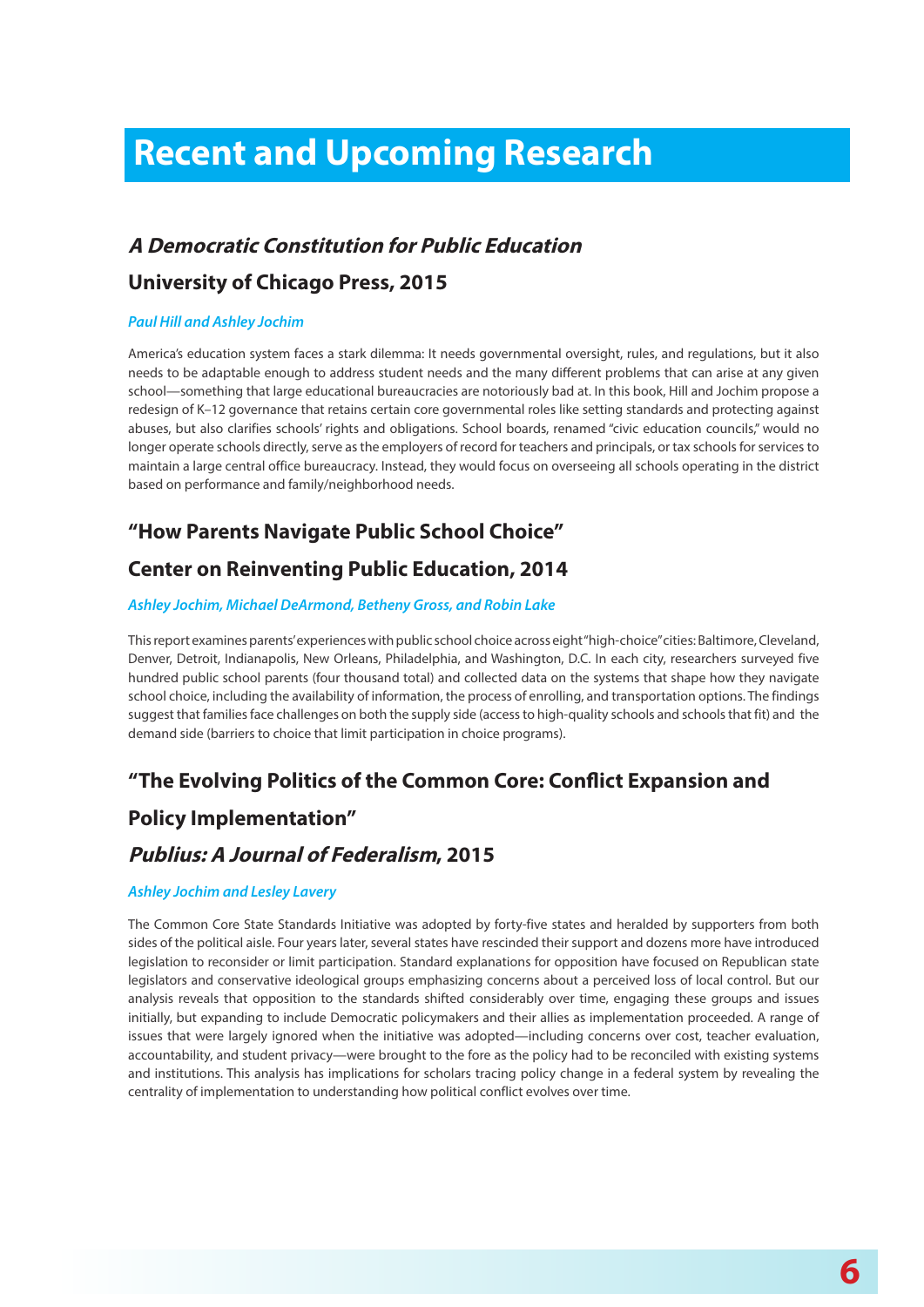# **Recent and Upcoming Research Recent and Upcoming Research**

#### **A Democratic Constitution for Public Education**

#### **University of Chicago Press, 2015**

#### *Paul Hill and Ashley Jochim*

America's education system faces a stark dilemma: It needs governmental oversight, rules, and regulations, but it also needs to be adaptable enough to address student needs and the many different problems that can arise at any given school—something that large educational bureaucracies are notoriously bad at. In this book, Hill and Jochim propose a redesign of K–12 governance that retains certain core governmental roles like setting standards and protecting against abuses, but also clarifies schools' rights and obligations. School boards, renamed "civic education councils," would no longer operate schools directly, serve as the employers of record for teachers and principals, or tax schools for services to maintain a large central office bureaucracy. Instead, they would focus on overseeing all schools operating in the district based on performance and family/neighborhood needs.

#### **"How Parents Navigate Public School Choice"**

#### **Center on Reinventing Public Education, 2014**

#### *Ashley Jochim, Michael DeArmond, Betheny Gross, and Robin Lake*

This report examines parents' experiences with public school choice across eight "high-choice" cities: Baltimore, Cleveland, Denver, Detroit, Indianapolis, New Orleans, Philadelphia, and Washington, D.C. In each city, researchers surveyed five hundred public school parents (four thousand total) and collected data on the systems that shape how they navigate school choice, including the availability of information, the process of enrolling, and transportation options. The findings suggest that families face challenges on both the supply side (access to high-quality schools and schools that fit) and the demand side (barriers to choice that limit participation in choice programs).

#### **"The Evolving Politics of the Common Core: Conflict Expansion and**

#### **Policy Implementation"**

#### **Publius: A Journal of Federalism, 2015**

#### *Ashley Jochim and Lesley Lavery*

The Common Core State Standards Initiative was adopted by forty-five states and heralded by supporters from both sides of the political aisle. Four years later, several states have rescinded their support and dozens more have introduced legislation to reconsider or limit participation. Standard explanations for opposition have focused on Republican state legislators and conservative ideological groups emphasizing concerns about a perceived loss of local control. But our analysis reveals that opposition to the standards shifted considerably over time, engaging these groups and issues initially, but expanding to include Democratic policymakers and their allies as implementation proceeded. A range of issues that were largely ignored when the initiative was adopted—including concerns over cost, teacher evaluation, accountability, and student privacy—were brought to the fore as the policy had to be reconciled with existing systems and institutions. This analysis has implications for scholars tracing policy change in a federal system by revealing the centrality of implementation to understanding how political conflict evolves over time.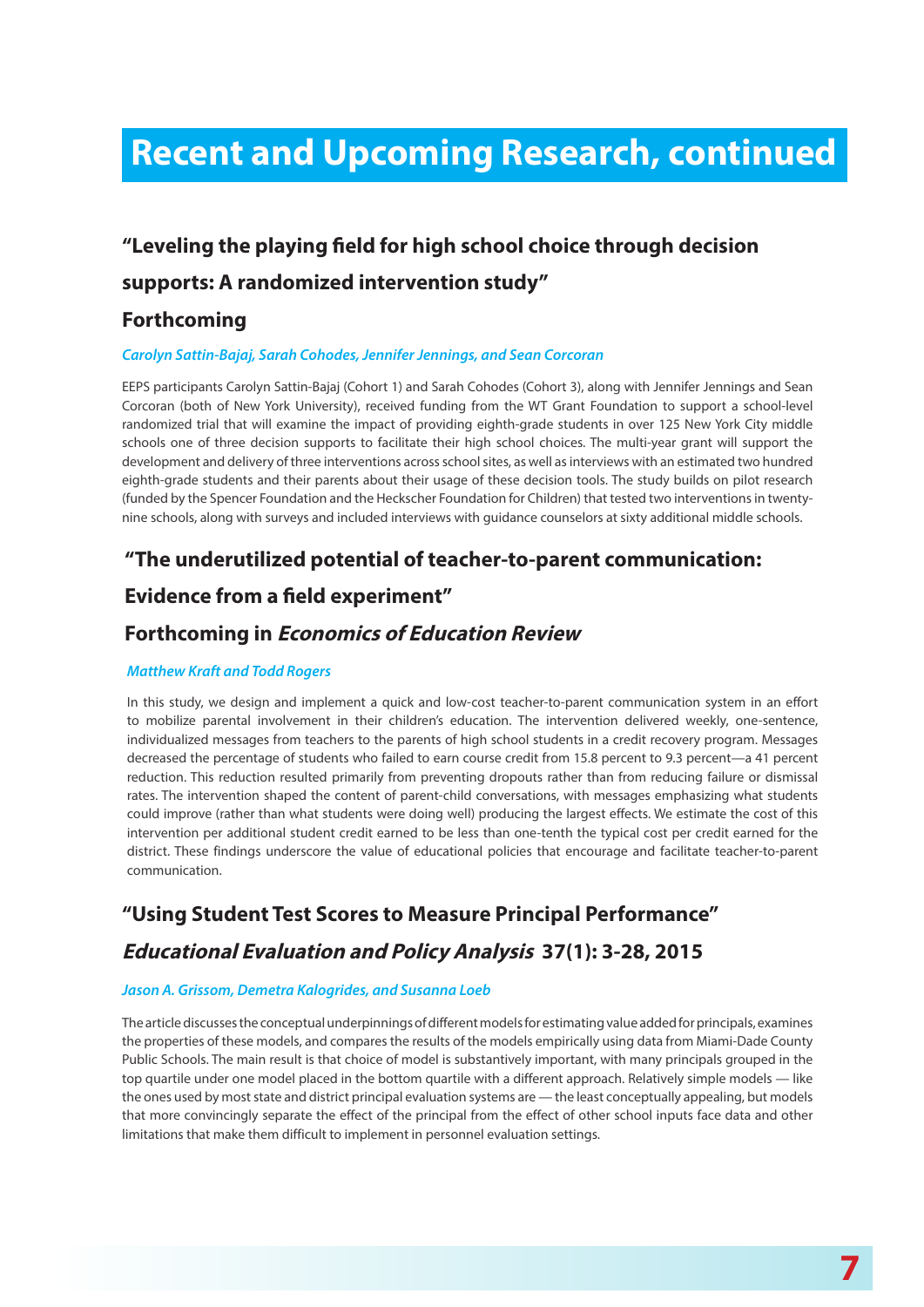# **Recent and Upcoming Research, continued**

## **"Leveling the playing field for high school choice through decision**

#### **supports: A randomized intervention study"**

#### **Forthcoming**

#### *Carolyn Sattin-Bajaj, Sarah Cohodes, Jennifer Jennings, and Sean Corcoran*

EEPS participants Carolyn Sattin-Bajaj (Cohort 1) and Sarah Cohodes (Cohort 3), along with Jennifer Jennings and Sean Corcoran (both of New York University), received funding from the WT Grant Foundation to support a school-level randomized trial that will examine the impact of providing eighth-grade students in over 125 New York City middle schools one of three decision supports to facilitate their high school choices. The multi-year grant will support the development and delivery of three interventions across school sites, as well as interviews with an estimated two hundred eighth-grade students and their parents about their usage of these decision tools. The study builds on pilot research (funded by the Spencer Foundation and the Heckscher Foundation for Children) that tested two interventions in twentynine schools, along with surveys and included interviews with guidance counselors at sixty additional middle schools.

#### **"The underutilized potential of teacher-to-parent communication:**

#### **Evidence from a field experiment"**

#### **Forthcoming in Economics of Education Review**

#### *Matthew Kraft and Todd Rogers*

In this study, we design and implement a quick and low-cost teacher-to-parent communication system in an effort to mobilize parental involvement in their children's education. The intervention delivered weekly, one-sentence, individualized messages from teachers to the parents of high school students in a credit recovery program. Messages decreased the percentage of students who failed to earn course credit from 15.8 percent to 9.3 percent—a 41 percent reduction. This reduction resulted primarily from preventing dropouts rather than from reducing failure or dismissal rates. The intervention shaped the content of parent-child conversations, with messages emphasizing what students could improve (rather than what students were doing well) producing the largest effects. We estimate the cost of this intervention per additional student credit earned to be less than one-tenth the typical cost per credit earned for the district. These findings underscore the value of educational policies that encourage and facilitate teacher-to-parent communication.

#### **"Using Student Test Scores to Measure Principal Performance"**

#### **Educational Evaluation and Policy Analysis 37(1): 3-28, 2015**

#### *Jason A. Grissom, Demetra Kalogrides, and Susanna Loeb*

The article discusses the conceptual underpinnings of different models for estimating value added for principals, examines the properties of these models, and compares the results of the models empirically using data from Miami-Dade County Public Schools. The main result is that choice of model is substantively important, with many principals grouped in the top quartile under one model placed in the bottom quartile with a different approach. Relatively simple models — like the ones used by most state and district principal evaluation systems are — the least conceptually appealing, but models that more convincingly separate the effect of the principal from the effect of other school inputs face data and other limitations that make them difficult to implement in personnel evaluation settings.